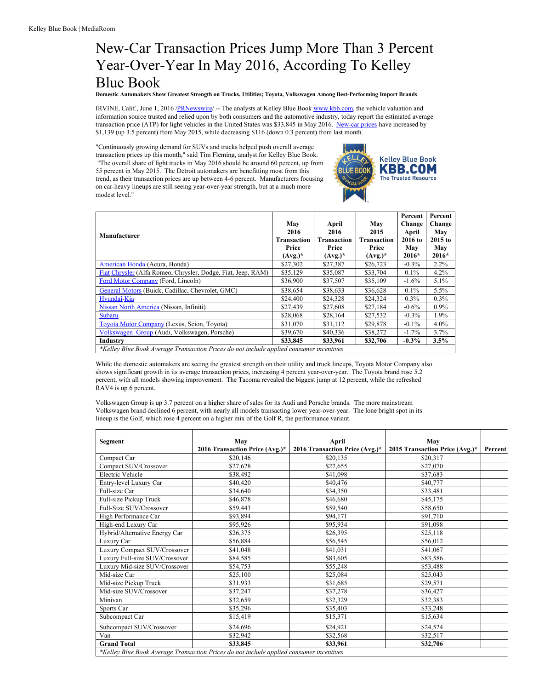## New-Car Transaction Prices Jump More Than 3 Percent Year-Over-Year In May 2016, According To Kelley Blue Book

**Domestic Automakers Show Greatest Strength on Trucks, Utilities; Toyota, Volkswagen Among Best-Performing Import Brands**

IRVINE, Calif., June 1, 2016 [/PRNewswire](http://www.prnewswire.com/)/ -- The analysts at Kelley Blue Book [www.kbb.com,](http://www.kbb.com) the vehicle valuation and information source trusted and relied upon by both consumers and the automotive industry, today report the estimated average transaction price (ATP) for light vehicles in the United States was \$33,845 in May 2016. [New-car](http://www.kbb.com/new-cars/) prices have increased by \$1,139 (up 3.5 percent) from May 2015, while decreasing \$116 (down 0.3 percent) from last month.

"Continuously growing demand for SUVs and trucks helped push overall average transaction prices up this month," said Tim Fleming, analyst for Kelley Blue Book. "The overall share of light trucks in May 2016 should be around 60 percent, up from 55 percent in May 2015. The Detroit automakers are benefitting most from this trend, as their transaction prices are up between 4-6 percent. Manufacturers focusing on car-heavy lineups are still seeing year-over-year strength, but at a much more modest level."



|                                                                                         |                    |             |                    | Percent  | Percent   |  |  |  |
|-----------------------------------------------------------------------------------------|--------------------|-------------|--------------------|----------|-----------|--|--|--|
|                                                                                         | May                | April       | May                | Change   | Change    |  |  |  |
| Manufacturer                                                                            | 2016               | 2016        | 2015               | April    | May       |  |  |  |
|                                                                                         | <b>Transaction</b> | Transaction | <b>Transaction</b> | 2016 to  | $2015$ to |  |  |  |
|                                                                                         | Price              | Price       | Price              | May      | May       |  |  |  |
|                                                                                         | $(Avg.)^*$         | $(Avg.)^*$  | $(Avg.)^*$         | $2016*$  | $2016*$   |  |  |  |
| American Honda (Acura, Honda)                                                           | \$27,302           | \$27,387    | \$26,723           | $-0.3\%$ | $2.2\%$   |  |  |  |
| Fiat Chrysler (Alfa Romeo, Chrysler, Dodge, Fiat, Jeep, RAM)                            | \$35,129           | \$35,087    | \$33,704           | $0.1\%$  | 4.2%      |  |  |  |
| Ford Motor Company (Ford, Lincoln)                                                      | \$36,900           | \$37,507    | \$35,109           | $-1.6\%$ | $5.1\%$   |  |  |  |
| General Motors (Buick, Cadillac, Chevrolet, GMC)                                        | \$38,654           | \$38,633    | \$36,628           | $0.1\%$  | 5.5%      |  |  |  |
| Hvundai-Kia                                                                             | \$24,400           | \$24,328    | \$24,324           | $0.3\%$  | $0.3\%$   |  |  |  |
| Nissan North America (Nissan, Infiniti)                                                 | \$27,439           | \$27,608    | \$27,184           | $-0.6\%$ | $0.9\%$   |  |  |  |
| Subaru                                                                                  | \$28,068           | \$28,164    | \$27,532           | $-0.3\%$ | 1.9%      |  |  |  |
| Toyota Motor Company (Lexus, Scion, Toyota)                                             | \$31,070           | \$31,112    | \$29,878           | $-0.1\%$ | $4.0\%$   |  |  |  |
| Volkswagen Group (Audi, Volkswagen, Porsche)                                            | \$39,670           | \$40,336    | \$38,272           | $-1.7\%$ | 3.7%      |  |  |  |
| Industry                                                                                | \$33,845           | \$33.961    | \$32,706           | $-0.3\%$ | 3.5%      |  |  |  |
| *Kelley Blue Book Average Transaction Prices do not include applied consumer incentives |                    |             |                    |          |           |  |  |  |

While the domestic automakers are seeing the greatest strength on their utility and truck lineups, Toyota Motor Company also shows significant growth in its average transaction prices, increasing 4 percent year-over-year. The Toyota brand rose 5.2 percent, with all models showing improvement. The Tacoma revealed the biggest jump at 12 percent, while the refreshed RAV4 is up 6 percent.

Volkswagen Group is up 3.7 percent on a higher share of sales for its Audi and Porsche brands. The more mainstream Volkswagen brand declined 6 percent, with nearly all models transacting lower year-over-year. The lone bright spot in its lineup is the Golf, which rose 4 percent on a higher mix of the Golf R, the performance variant.

| Segment                        | May                            | April                          | May                            |         |
|--------------------------------|--------------------------------|--------------------------------|--------------------------------|---------|
|                                | 2016 Transaction Price (Avg.)* | 2016 Transaction Price (Avg.)* | 2015 Transaction Price (Avg.)* | Percent |
| Compact Car                    | \$20,146                       | \$20,135                       | \$20,317                       |         |
| Compact SUV/Crossover          | \$27,628                       | \$27,655                       | \$27,070                       |         |
| Electric Vehicle               | \$38,492                       | \$41,098                       | \$37,683                       |         |
| Entry-level Luxury Car         | \$40,420                       | \$40,476                       | \$40,777                       |         |
| Full-size Car                  | \$34,640                       | \$34,350                       | \$33,481                       |         |
| Full-size Pickup Truck         | \$46,878                       | \$46,680                       | \$45,175                       |         |
| Full-Size SUV/Crossover        | \$59,443                       | \$59,540                       | \$58,650                       |         |
| High Performance Car           | \$93,894                       | \$94,171                       | \$91,710                       |         |
| High-end Luxury Car            | \$95,926                       | \$95,934                       | \$91,098                       |         |
| Hybrid/Alternative Energy Car  | \$26,375                       | \$26,395                       | \$25,118                       |         |
| Luxury Car                     | \$56,884                       | \$56,545                       | \$56,012                       |         |
| Luxury Compact SUV/Crossover   | \$41,048                       | \$41,031                       | \$41,067                       |         |
| Luxury Full-size SUV/Crossover | \$84,585                       | \$83,605                       | \$83,586                       |         |
| Luxury Mid-size SUV/Crossover  | \$54,753                       | \$55,248                       | \$53,488                       |         |
| Mid-size Car                   | \$25,100                       | \$25,084                       | \$25,043                       |         |
| Mid-size Pickup Truck          | \$31,933                       | \$31,685                       | \$29,571                       |         |
| Mid-size SUV/Crossover         | \$37,247                       | \$37,278                       | \$36,427                       |         |
| Minivan                        | \$32,659                       | \$32,329                       | \$32,383                       |         |
| Sports Car                     | \$35,296                       | \$35,403                       | \$33,248                       |         |
| Subcompact Car                 | \$15,419                       | \$15,371                       | \$15,634                       |         |
| Subcompact SUV/Crossover       | \$24,696                       | \$24,921                       | \$24,524                       |         |
| Van                            | \$32,942                       | \$32,568                       | \$32,517                       |         |
| <b>Grand Total</b>             | \$33,845                       | \$33,961                       | \$32,706                       |         |

*\*Kelley Blue Book Average Transaction Prices do not include applied consumer incentives*